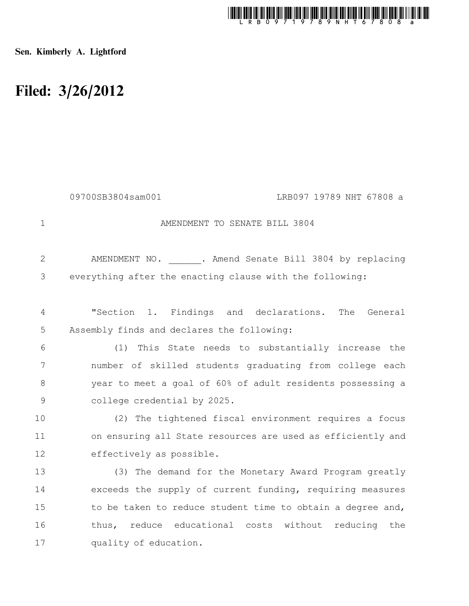

Sen. Kimberly A. Lightford

## Filed: 3/26/2012

|                | 09700SB3804sam001<br>LRB097 19789 NHT 67808 a               |
|----------------|-------------------------------------------------------------|
| $\mathbf 1$    | AMENDMENT TO SENATE BILL 3804                               |
| $\overline{2}$ | AMENDMENT NO. . Amend Senate Bill 3804 by replacing         |
| 3              | everything after the enacting clause with the following:    |
| $\overline{4}$ | "Section 1. Findings and declarations. The General          |
| 5              | Assembly finds and declares the following:                  |
| 6              | This State needs to substantially increase the<br>(1)       |
| 7              | number of skilled students graduating from college each     |
| 8              | year to meet a goal of 60% of adult residents possessing a  |
| $\mathcal{G}$  | college credential by 2025.                                 |
| 10             | (2) The tightened fiscal environment requires a focus       |
| 11             | on ensuring all State resources are used as efficiently and |
| 12             | effectively as possible.                                    |
| 13             | (3) The demand for the Monetary Award Program greatly       |
| 14             | exceeds the supply of current funding, requiring measures   |
| 15             | to be taken to reduce student time to obtain a degree and,  |
| 16             | thus, reduce educational costs without reducing the         |
| 17             | quality of education.                                       |
|                |                                                             |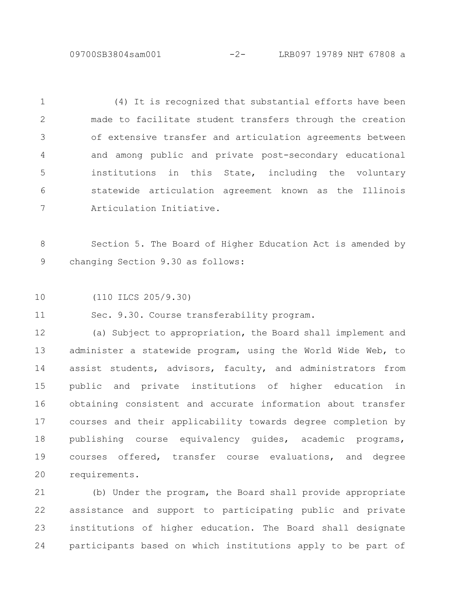09700SB3804sam001 -2- LRB097 19789 NHT 67808 a

(4) It is recognized that substantial efforts have been made to facilitate student transfers through the creation of extensive transfer and articulation agreements between and among public and private post-secondary educational institutions in this State, including the voluntary statewide articulation agreement known as the Illinois Articulation Initiative. 1 2 3 4 5 6 7

Section 5. The Board of Higher Education Act is amended by changing Section 9.30 as follows: 8 9

(110 ILCS 205/9.30) 10

Sec. 9.30. Course transferability program. 11

(a) Subject to appropriation, the Board shall implement and administer a statewide program, using the World Wide Web, to assist students, advisors, faculty, and administrators from public and private institutions of higher education in obtaining consistent and accurate information about transfer courses and their applicability towards degree completion by publishing course equivalency guides, academic programs, courses offered, transfer course evaluations, and degree requirements. 12 13 14 15 16 17 18 19 20

(b) Under the program, the Board shall provide appropriate assistance and support to participating public and private institutions of higher education. The Board shall designate participants based on which institutions apply to be part of 21 22 23 24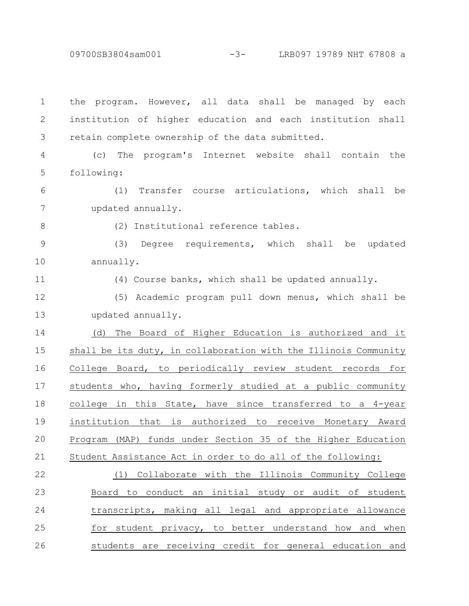09700SB3804sam001 -3- LRB097 19789 NHT 67808 a

the program. However, all data shall be managed by each institution of higher education and each institution shall retain complete ownership of the data submitted. (c) The program's Internet website shall contain the following: (1) Transfer course articulations, which shall be updated annually. (2) Institutional reference tables. (3) Degree requirements, which shall be updated annually. (4) Course banks, which shall be updated annually. (5) Academic program pull down menus, which shall be updated annually. (d) The Board of Higher Education is authorized and it shall be its duty, in collaboration with the Illinois Community College Board, to periodically review student records for students who, having formerly studied at a public community college in this State, have since transferred to a 4-year institution that is authorized to receive Monetary Award Program (MAP) funds under Section 35 of the Higher Education Student Assistance Act in order to do all of the following: (1) Collaborate with the Illinois Community College Board to conduct an initial study or audit of student transcripts, making all legal and appropriate allowance for student privacy, to better understand how and when students are receiving credit for general education and 1 2 3 4 5 6 7 8 9 10 11 12 13 14 15 16 17 18 19 20 21 22 23 24 25 26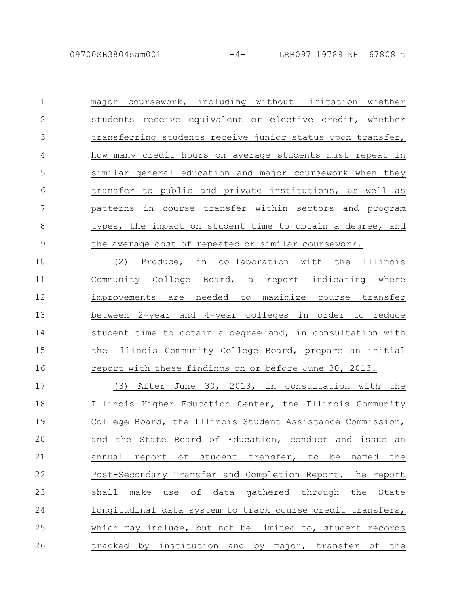major coursework, including without limitation whether students receive equivalent or elective credit, whether transferring students receive junior status upon transfer, how many credit hours on average students must repeat in similar general education and major coursework when they transfer to public and private institutions, as well as patterns in course transfer within sectors and program types, the impact on student time to obtain a degree, and the average cost of repeated or similar coursework. 1 2 3 4 5 6 7 8 9

(2) Produce, in collaboration with the Illinois Community College Board, a report indicating where improvements are needed to maximize course transfer between 2-year and 4-year colleges in order to reduce student time to obtain a degree and, in consultation with the Illinois Community College Board, prepare an initial report with these findings on or before June 30, 2013. 10 11 12 13 14 15 16

(3) After June 30, 2013, in consultation with the Illinois Higher Education Center, the Illinois Community College Board, the Illinois Student Assistance Commission, and the State Board of Education, conduct and issue an annual report of student transfer, to be named the Post-Secondary Transfer and Completion Report. The report shall make use of data gathered through the State longitudinal data system to track course credit transfers, which may include, but not be limited to, student records tracked by institution and by major, transfer of the 17 18 19 20 21 22 23 24 25 26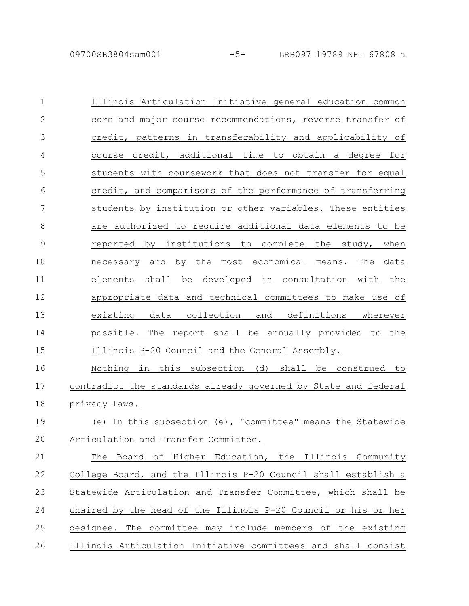| $\mathbf 1$   | Illinois Articulation Initiative general education common      |
|---------------|----------------------------------------------------------------|
| $\mathbf{2}$  | core and major course recommendations, reverse transfer of     |
| 3             | credit, patterns in transferability and applicability of       |
| 4             | course credit, additional time to obtain a degree for          |
| 5             | students with coursework that does not transfer for equal      |
| 6             | credit, and comparisons of the performance of transferring     |
| 7             | students by institution or other variables. These entities     |
| $8\,$         | are authorized to require additional data elements to be       |
| $\mathcal{G}$ | reported by institutions to complete the study, when           |
| 10            | necessary and by the most economical means. The<br>data        |
| 11            | elements shall be developed in consultation with the           |
| 12            | appropriate data and technical committees to make use of       |
| 13            | existing data collection and definitions wherever              |
| 14            | possible. The report shall be annually provided to the         |
| 15            | Illinois P-20 Council and the General Assembly.                |
| 16            | Nothing in this subsection (d) shall be construed to           |
| 17            | contradict the standards already governed by State and federal |
| 18            | privacy laws.                                                  |
| 19            | In this subsection (e), "committee" means the Statewide<br>(e) |
| 20            | Articulation and Transfer Committee.                           |
| 21            | The Board of Higher Education, the Illinois Community          |
| 22            | College Board, and the Illinois P-20 Council shall establish a |
| 23            | Statewide Articulation and Transfer Committee, which shall be  |
| 24            | chaired by the head of the Illinois P-20 Council or his or her |
| 25            | designee. The committee may include members of the existing    |
| 26            | Illinois Articulation Initiative committees and shall consist  |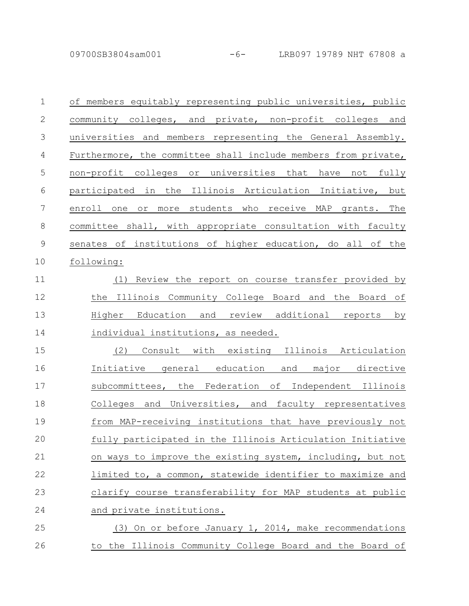09700SB3804sam001 -6- LRB097 19789 NHT 67808 a

| 1              | of members equitably representing public universities, public  |
|----------------|----------------------------------------------------------------|
| $\mathbf{2}$   | community colleges, and private, non-profit colleges and       |
| $\mathcal{S}$  | universities and members representing the General Assembly.    |
| $\overline{4}$ | Furthermore, the committee shall include members from private, |
| 5              | non-profit_colleges_or_universities_that_have_not_fully        |
| 6              | participated in the Illinois Articulation Initiative, but      |
| $\overline{7}$ | or more students who receive MAP grants. The<br>enroll one     |
| $\,8\,$        | committee shall, with appropriate consultation with faculty    |
| $\mathcal{G}$  | senates of institutions of higher education, do all of the     |
| 10             | following:                                                     |
| 11             | Review the report on course transfer provided by<br>(1)        |
| 12             | the Illinois Community College Board and the Board of          |
| 13             | Higher Education and review additional reports by              |
| 14             | individual institutions, as needed.                            |
| 15             | (2) Consult with existing Illinois Articulation                |
| 16             | Initiative general education and major directive               |
| 17             | subcommittees, the Federation of Independent Illinois          |
| 18             | Colleges and Universities, and faculty representatives         |
| 19             | from MAP-receiving institutions that have previously not       |
| 20             | fully participated in the Illinois Articulation Initiative     |
| 21             | on ways to improve the existing system, including, but not     |
| 22             | limited to, a common, statewide identifier to maximize and     |
| 23             | clarify course transferability for MAP students at public      |
| 24             | and private institutions.                                      |
| 25             | (3) On or before January 1, 2014, make recommendations         |
| 26             | to the Illinois Community College Board and the Board of       |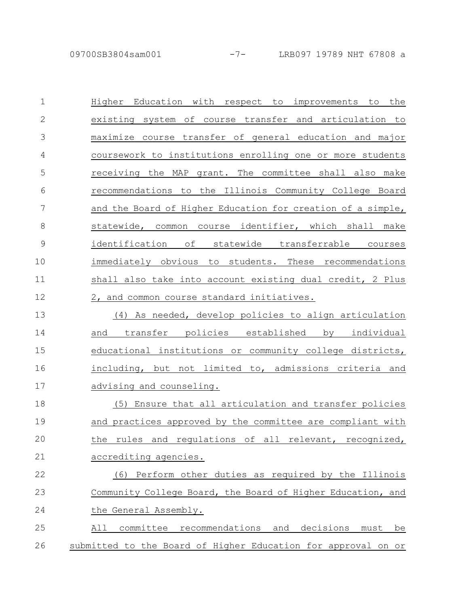09700SB3804sam001 -7- LRB097 19789 NHT 67808 a

| $\mathbf 1$   | Higher Education with respect to improvements to the          |
|---------------|---------------------------------------------------------------|
| $\mathbf{2}$  | existing system of course transfer and articulation to        |
| 3             | maximize course transfer of general education and major       |
| 4             | coursework to institutions enrolling one or more students     |
| 5             | receiving the MAP grant. The committee shall also make        |
| 6             | recommendations to the Illinois Community College Board       |
| 7             | and the Board of Higher Education for creation of a simple,   |
| 8             | statewide, common course identifier, which shall make         |
| $\mathcal{G}$ | identification of statewide transferrable courses             |
| 10            | immediately obvious to students. These recommendations        |
| 11            | shall also take into account existing dual credit, 2 Plus     |
| 12            | 2, and common course standard initiatives.                    |
| 13            | (4) As needed, develop policies to align articulation         |
| 14            | transfer policies established by individual<br>and            |
| 15            | educational institutions or community college districts,      |
| 16            | including, but not limited to, admissions criteria and        |
| 17            | advising and counseling.                                      |
| 18            | (5) Ensure that all articulation and transfer policies        |
| 19            | and practices approved by the committee are compliant with    |
| 20            | the rules and regulations of all relevant, recognized,        |
| 21            | accrediting agencies.                                         |
| 22            | Perform other duties as required by the Illinois<br>(6)       |
| 23            | Community College Board, the Board of Higher Education, and   |
| 24            | the General Assembly.                                         |
| 25            | All committee recommendations and decisions<br>must<br>be     |
| 26            | submitted to the Board of Higher Education for approval on or |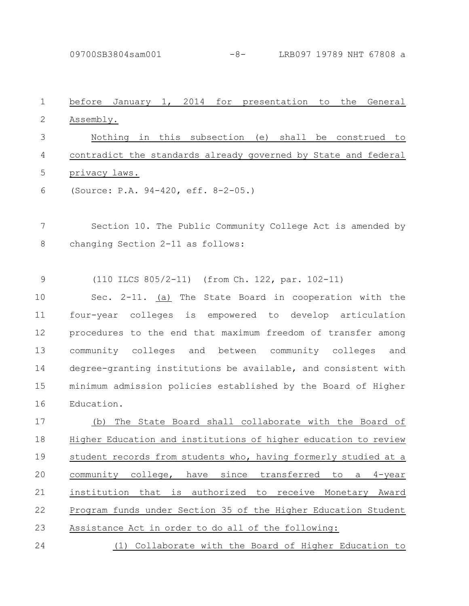09700SB3804sam001 -8- LRB097 19789 NHT 67808 a

| $\mathbf 1$  | before January 1, 2014 for presentation to<br>the<br>General    |
|--------------|-----------------------------------------------------------------|
| $\mathbf{2}$ | Assembly.                                                       |
| 3            | Nothing in this subsection (e) shall be construed to            |
| 4            | contradict the standards already governed by State and federal  |
| 5            | privacy laws.                                                   |
| 6            | (Source: P.A. 94-420, eff. 8-2-05.)                             |
| 7            | Section 10. The Public Community College Act is amended by      |
| $\,8\,$      | changing Section 2-11 as follows:                               |
| $\mathsf 9$  | (110 ILCS 805/2-11) (from Ch. 122, par. 102-11)                 |
| 10           | Sec. 2-11. (a) The State Board in cooperation with the          |
| 11           | four-year colleges is empowered to develop articulation         |
| 12           | procedures to the end that maximum freedom of transfer among    |
| 13           | community colleges<br>and between community colleges<br>and     |
| 14           | degree-granting institutions be available, and consistent with  |
| 15           | minimum admission policies established by the Board of Higher   |
| 16           | Education.                                                      |
| 17           | The State Board shall collaborate with the Board of<br>(b)      |
| 18           | Higher Education and institutions of higher education to review |
| 19           | student records from students who, having formerly studied at a |
| 20           | community college, have since transferred to a 4-year           |
| 21           | institution that is authorized to receive Monetary Award        |
| 22           | Program funds under Section 35 of the Higher Education Student  |
| 23           | Assistance Act in order to do all of the following:             |
| 24           | (1) Collaborate with the Board of Higher Education to           |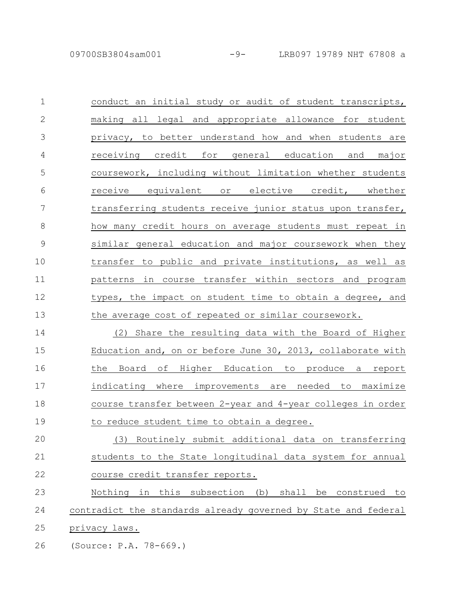| $\mathbf 1$    | conduct an initial study or audit of student transcripts,   |
|----------------|-------------------------------------------------------------|
| $\overline{2}$ | making all legal and appropriate allowance for student      |
| 3              | privacy, to better understand how and when students are     |
| 4              | receiving credit for general education and<br>major         |
| 5              | coursework, including without limitation whether students   |
| 6              | receive equivalent or elective credit, whether              |
| 7              | transferring students receive junior status upon transfer,  |
| 8              | how many credit hours on average students must repeat in    |
| 9              | similar general education and major coursework when they    |
| 10             | transfer to public and private institutions, as well as     |
| 11             | patterns in course transfer within sectors and program      |
| 12             | types, the impact on student time to obtain a degree, and   |
| 13             | the average cost of repeated or similar coursework.         |
| 14             | (2) Share the resulting data with the Board of Higher       |
| 15             | Education and, on or before June 30, 2013, collaborate with |
| 16             | the Board of Higher Education to produce a report           |
| 17             | indicating where improvements are needed to maximize        |
| 18             | course transfer between 2-year and 4-year colleges in order |

to reduce student time to obtain a degree. 19

(3) Routinely submit additional data on transferring students to the State longitudinal data system for annual course credit transfer reports. 20 21 22

Nothing in this subsection (b) shall be construed to contradict the standards already governed by State and federal privacy laws. 23 24 25

(Source: P.A. 78-669.) 26